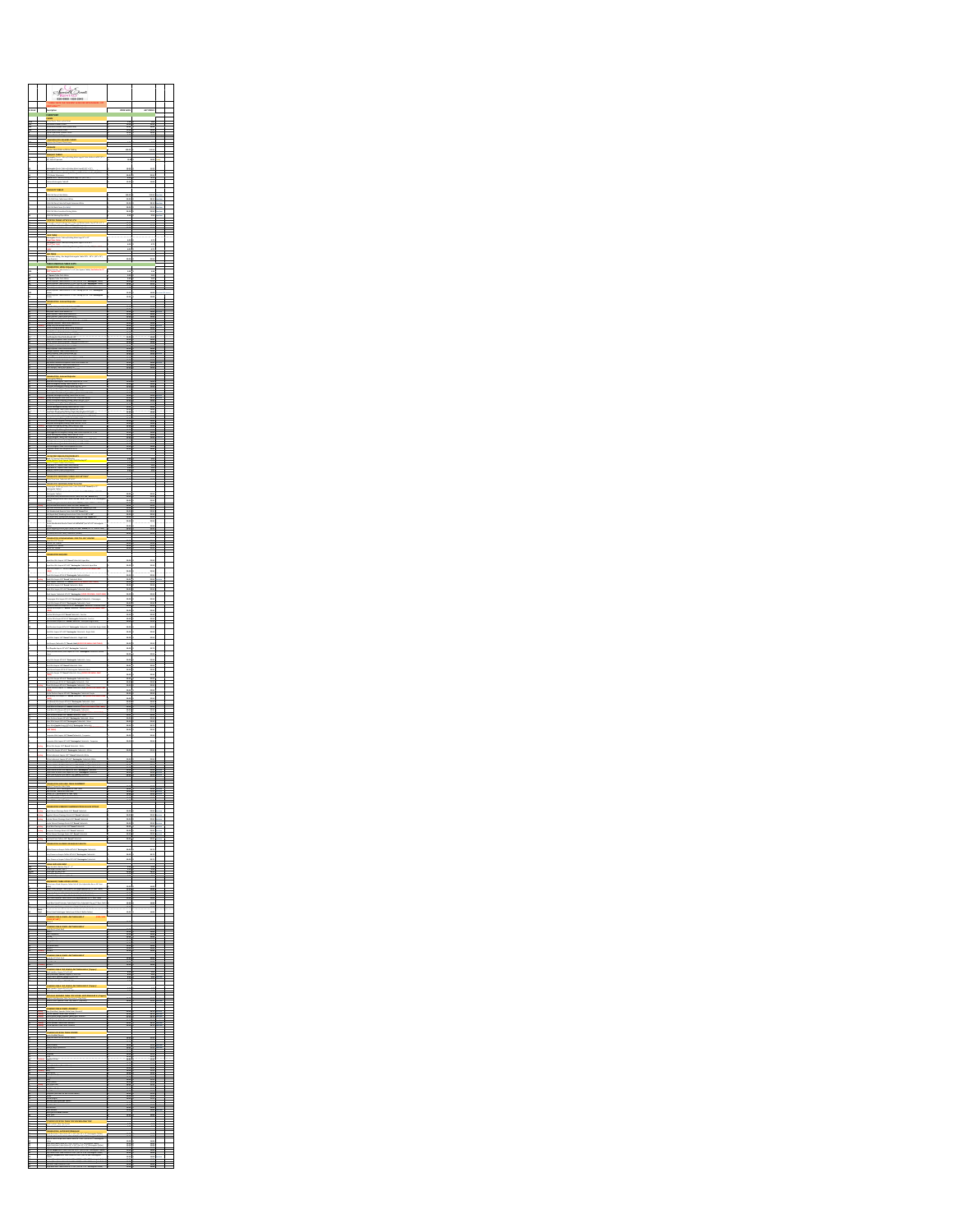|                                           |                                                                                                                        | $\begin{array}{c}\n\sqrt{\text{waisi}\bigcirc} \\ \text{Area of 0.0000}\n\end{array}$ |                                                                                  |                        |      |  |
|-------------------------------------------|------------------------------------------------------------------------------------------------------------------------|---------------------------------------------------------------------------------------|----------------------------------------------------------------------------------|------------------------|------|--|
|                                           |                                                                                                                        |                                                                                       |                                                                                  |                        |      |  |
|                                           |                                                                                                                        | ĺ                                                                                     |                                                                                  |                        |      |  |
|                                           |                                                                                                                        |                                                                                       |                                                                                  |                        |      |  |
|                                           |                                                                                                                        |                                                                                       |                                                                                  | Ì                      |      |  |
|                                           |                                                                                                                        |                                                                                       | ŗ<br>£                                                                           | ē                      |      |  |
|                                           |                                                                                                                        |                                                                                       |                                                                                  |                        |      |  |
|                                           |                                                                                                                        |                                                                                       |                                                                                  | î                      |      |  |
|                                           |                                                                                                                        |                                                                                       | ü<br>$\overline{a}$                                                              | ×<br>ī                 |      |  |
|                                           |                                                                                                                        | Ì                                                                                     |                                                                                  |                        |      |  |
|                                           |                                                                                                                        |                                                                                       | ī                                                                                | Ξ                      |      |  |
|                                           |                                                                                                                        |                                                                                       | ē<br><u></u><br>s                                                                | ē<br>┄                 |      |  |
|                                           |                                                                                                                        |                                                                                       |                                                                                  | í<br>i                 |      |  |
|                                           |                                                                                                                        |                                                                                       |                                                                                  |                        |      |  |
|                                           |                                                                                                                        |                                                                                       | u<br>ú.                                                                          | é<br>ä                 |      |  |
|                                           |                                                                                                                        | ļ                                                                                     |                                                                                  |                        |      |  |
|                                           |                                                                                                                        |                                                                                       |                                                                                  |                        |      |  |
|                                           |                                                                                                                        | ÿ                                                                                     | Ē<br>l                                                                           | i<br>į                 |      |  |
| ׇ֚֚֬                                      |                                                                                                                        |                                                                                       |                                                                                  |                        | ׇ֚֬֕ |  |
|                                           |                                                                                                                        |                                                                                       |                                                                                  |                        |      |  |
|                                           |                                                                                                                        |                                                                                       | 医结核结核结核结核结核 非非法法法律 11                                                            | 11 网络网络阿拉伯阿拉伯阿拉伯阿拉伯阿拉伯 |      |  |
|                                           |                                                                                                                        | =<br>=<br>=<br>=                                                                      |                                                                                  |                        |      |  |
|                                           |                                                                                                                        |                                                                                       |                                                                                  |                        |      |  |
|                                           |                                                                                                                        |                                                                                       |                                                                                  |                        |      |  |
|                                           |                                                                                                                        |                                                                                       |                                                                                  |                        |      |  |
|                                           |                                                                                                                        |                                                                                       |                                                                                  |                        |      |  |
|                                           |                                                                                                                        |                                                                                       | <b>especification of the control</b>                                             |                        |      |  |
| $\blacksquare$                            | ֖ׅׅ֧֖֖֧֧ׅ֖֖֖֧֧ׅׅ֖֧֖ׅׅ֪ׅׅ֪ׅ֪ׅׅׅ֚֚֚֚֚֚֚֚֡֡֡֡֟֓֡֡֡֬֓֡֡֡֬֓֡֬֓֬֝֝֓֝֓֬֝֓֝֓֬֓֬֬֝֓֞֬֓֞֬֓֞֬֝֓֞֬֝֬֝֬֝֬֝֬֝֬֝֬֝֬֝֬֝֬֝֬֝֬֝֬֝֝֝֬֝֬֝֬ | $\overline{1}$                                                                        |                                                                                  | $\frac{1}{2}$          |      |  |
|                                           |                                                                                                                        |                                                                                       | $\frac{1}{2}$                                                                    |                        |      |  |
|                                           |                                                                                                                        |                                                                                       |                                                                                  |                        |      |  |
|                                           |                                                                                                                        |                                                                                       |                                                                                  |                        |      |  |
|                                           |                                                                                                                        |                                                                                       |                                                                                  |                        |      |  |
|                                           |                                                                                                                        |                                                                                       |                                                                                  | f                      |      |  |
|                                           |                                                                                                                        |                                                                                       | į                                                                                |                        |      |  |
|                                           |                                                                                                                        |                                                                                       |                                                                                  | <b>Company</b>         |      |  |
|                                           | 1                                                                                                                      |                                                                                       | p                                                                                |                        |      |  |
|                                           |                                                                                                                        |                                                                                       |                                                                                  |                        |      |  |
|                                           |                                                                                                                        |                                                                                       | Ä                                                                                | ű                      |      |  |
|                                           |                                                                                                                        |                                                                                       |                                                                                  |                        |      |  |
|                                           |                                                                                                                        |                                                                                       | ž                                                                                | į                      |      |  |
|                                           |                                                                                                                        |                                                                                       |                                                                                  |                        |      |  |
|                                           |                                                                                                                        |                                                                                       |                                                                                  |                        |      |  |
|                                           |                                                                                                                        |                                                                                       |                                                                                  |                        |      |  |
|                                           |                                                                                                                        |                                                                                       |                                                                                  | ł                      |      |  |
|                                           |                                                                                                                        |                                                                                       | ₩                                                                                | í                      |      |  |
|                                           |                                                                                                                        |                                                                                       |                                                                                  |                        |      |  |
|                                           |                                                                                                                        |                                                                                       |                                                                                  | ž                      |      |  |
|                                           |                                                                                                                        |                                                                                       |                                                                                  | H                      |      |  |
|                                           |                                                                                                                        |                                                                                       |                                                                                  |                        |      |  |
|                                           |                                                                                                                        |                                                                                       |                                                                                  |                        |      |  |
|                                           |                                                                                                                        |                                                                                       |                                                                                  | í                      |      |  |
|                                           |                                                                                                                        |                                                                                       |                                                                                  |                        |      |  |
|                                           |                                                                                                                        |                                                                                       |                                                                                  |                        |      |  |
|                                           |                                                                                                                        |                                                                                       |                                                                                  | í                      |      |  |
|                                           |                                                                                                                        |                                                                                       |                                                                                  |                        |      |  |
|                                           |                                                                                                                        |                                                                                       | Ë<br>ÿ.                                                                          | E                      |      |  |
|                                           |                                                                                                                        |                                                                                       |                                                                                  | Ë                      |      |  |
|                                           |                                                                                                                        |                                                                                       | é                                                                                | ä<br>ï                 |      |  |
|                                           |                                                                                                                        |                                                                                       |                                                                                  |                        |      |  |
|                                           |                                                                                                                        |                                                                                       |                                                                                  |                        |      |  |
|                                           |                                                                                                                        |                                                                                       |                                                                                  |                        |      |  |
|                                           |                                                                                                                        |                                                                                       |                                                                                  |                        |      |  |
|                                           |                                                                                                                        |                                                                                       | q<br>ĺ                                                                           |                        |      |  |
|                                           |                                                                                                                        |                                                                                       |                                                                                  | i i se                 |      |  |
|                                           |                                                                                                                        |                                                                                       | ŗ                                                                                |                        |      |  |
|                                           |                                                                                                                        |                                                                                       |                                                                                  |                        |      |  |
|                                           |                                                                                                                        |                                                                                       | ÷                                                                                | i<br>÷                 |      |  |
|                                           |                                                                                                                        |                                                                                       | ſ<br>                                                                            | u                      |      |  |
|                                           |                                                                                                                        |                                                                                       | $\equiv$                                                                         | u.                     |      |  |
|                                           | ֖֧֧֧֧֧֧֧֧֧֧ׅ֧֧֧֧ׅ֧֧֧֧֧ׅ֧֧֧֧֧֧֚֚֚֚֚֚֚֚֚֚֚֚֚֚֚֚֚֚֚֚֚֚֚֚֚֚֚֚֡֬֓֓֕֡֡֡֡֡֡֡֡֡֡֓֓֓֓֓֓֓֓֩֓֓֡֡֝֬֝֬֝֬֝֬֝֬                        |                                                                                       |                                                                                  |                        |      |  |
| ֖֖֖֖֖֚֚֚֚֚֚֬֝֓֬֝֓֬֝֓֬֝֓֬֝֬֝֓֬֝֓֬֝֓֬֝֓֬֝֓֬ |                                                                                                                        |                                                                                       | ij                                                                               | Ĩ                      |      |  |
|                                           |                                                                                                                        |                                                                                       | Į<br>į<br>i                                                                      | l                      |      |  |
|                                           |                                                                                                                        |                                                                                       | H.                                                                               | ä                      |      |  |
|                                           |                                                                                                                        |                                                                                       | a,                                                                               | ú,                     |      |  |
|                                           | l                                                                                                                      |                                                                                       | ť                                                                                |                        |      |  |
|                                           |                                                                                                                        |                                                                                       | <b>The Second Second</b><br><b><i><u><u>ALLES CONTRACTORS (2001)</u></u></i></b> | 医皮肤性                   |      |  |
|                                           |                                                                                                                        |                                                                                       |                                                                                  |                        |      |  |
|                                           | Ì                                                                                                                      |                                                                                       | l                                                                                |                        |      |  |
|                                           |                                                                                                                        |                                                                                       | 株数  建設                                                                           | 韓国   韓国                |      |  |
|                                           |                                                                                                                        |                                                                                       |                                                                                  |                        |      |  |
|                                           |                                                                                                                        |                                                                                       | l<br>ś                                                                           |                        |      |  |
|                                           |                                                                                                                        |                                                                                       | ŧ                                                                                | B                      |      |  |
| ֖֚֚֬֕                                     | $\overline{1}$                                                                                                         |                                                                                       | PROGRAMATION PRESIDENT CONTRACTOR                                                | <b>Concession</b>      | :    |  |
|                                           |                                                                                                                        |                                                                                       | I                                                                                |                        |      |  |
|                                           | ł                                                                                                                      |                                                                                       |                                                                                  |                        |      |  |
|                                           |                                                                                                                        |                                                                                       | İ                                                                                |                        |      |  |
|                                           |                                                                                                                        |                                                                                       |                                                                                  |                        |      |  |
|                                           |                                                                                                                        |                                                                                       |                                                                                  |                        |      |  |
|                                           |                                                                                                                        |                                                                                       |                                                                                  |                        |      |  |
|                                           |                                                                                                                        |                                                                                       | Ë                                                                                |                        |      |  |
|                                           |                                                                                                                        |                                                                                       | l<br>į                                                                           | i                      |      |  |
|                                           |                                                                                                                        |                                                                                       | ŀ<br>֠                                                                           | ֖֚֬֕֕                  |      |  |
|                                           |                                                                                                                        |                                                                                       | ľ<br>f                                                                           | ē<br>f                 |      |  |
|                                           |                                                                                                                        |                                                                                       |                                                                                  |                        |      |  |
|                                           |                                                                                                                        |                                                                                       | i<br>ĺ                                                                           | <b>Butter</b>          |      |  |
|                                           |                                                                                                                        |                                                                                       | $\frac{1}{2}$<br>ţ                                                               | į                      |      |  |
|                                           |                                                                                                                        |                                                                                       |                                                                                  |                        |      |  |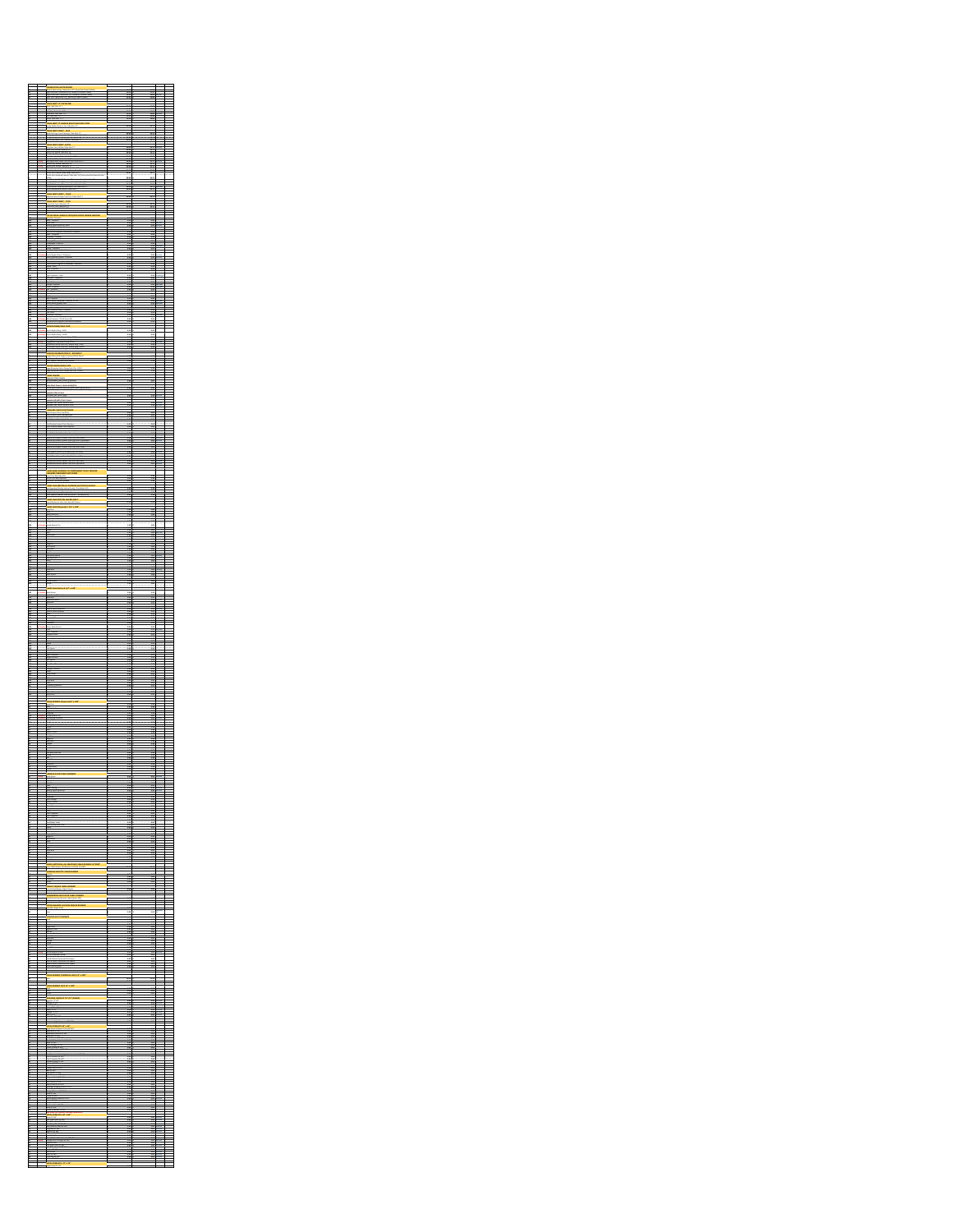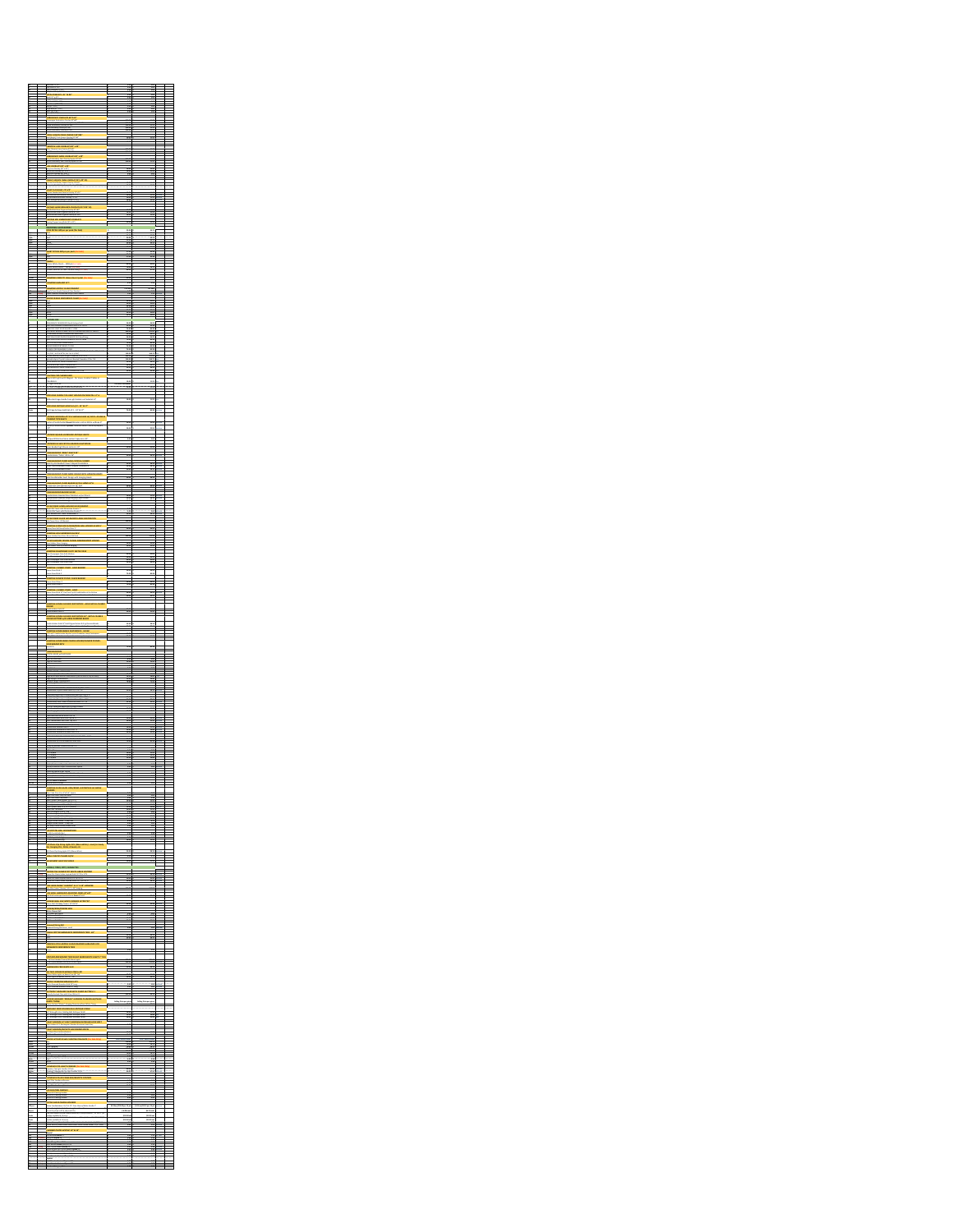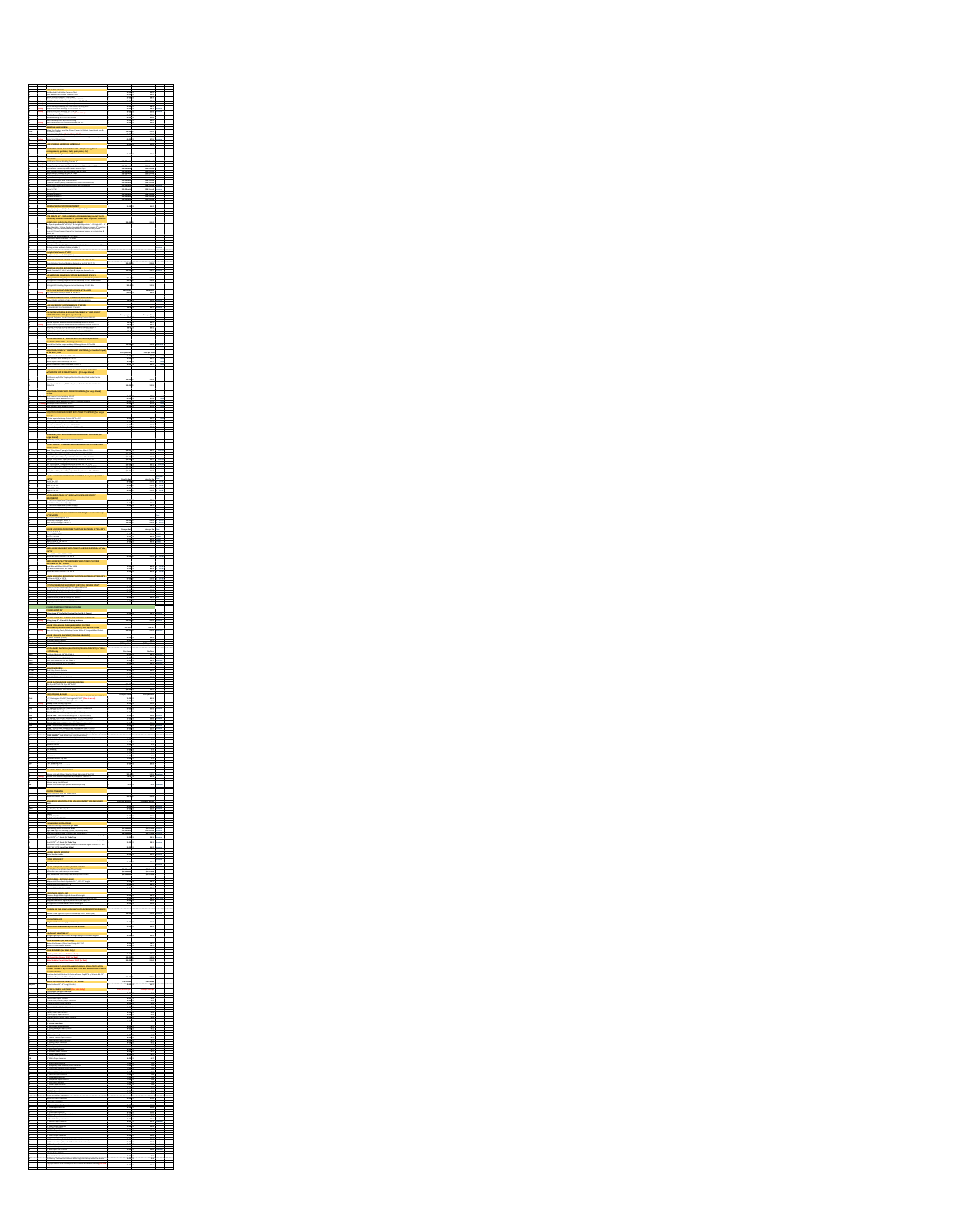